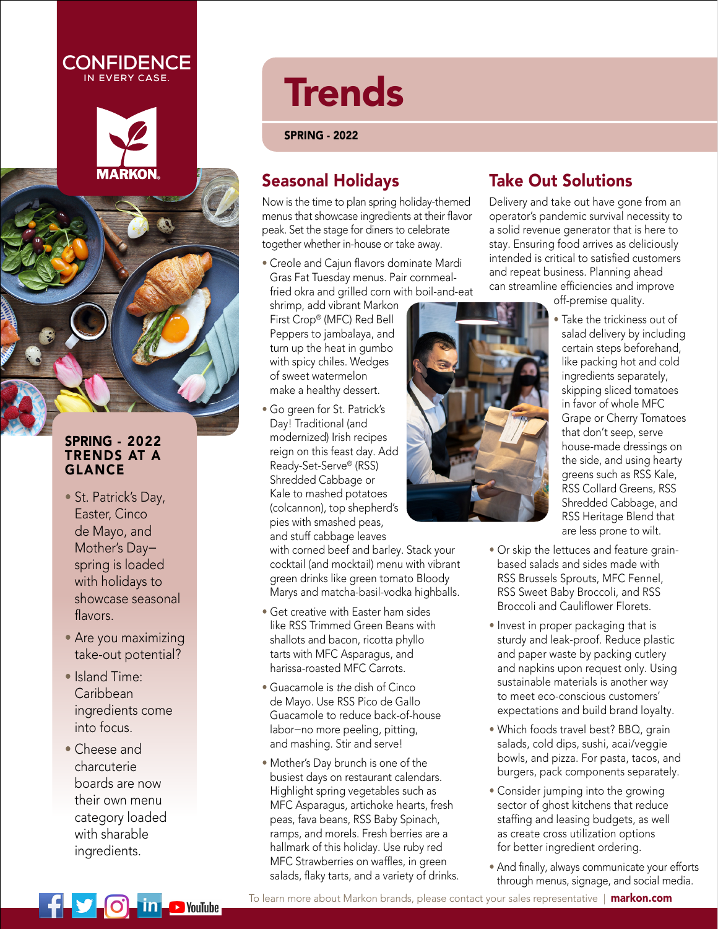### **CONFIDENCE IN EVERY CASE.**



### SPRING - 2022 TRENDS AT A GLANCE

- St. Patrick's Day, Easter, Cinco de Mayo, and Mother's Day spring is loaded with holidays to showcase seasonal flavors.
- Are you maximizing take-out potential?
- Island Time: Caribbean ingredients come into focus.
- Cheese and charcuterie boards are now their own menu category loaded with sharable ingredients.

# **Trends**

SPRING - 2022

## Seasonal Holidays

Now is the time to plan spring holiday-themed menus that showcase ingredients at their flavor peak. Set the stage for diners to celebrate together whether in-house or take away.

• Creole and Cajun flavors dominate Mardi Gras Fat Tuesday menus. Pair cornmealfried okra and grilled corn with boil-and-eat

shrimp, add vibrant Markon First Crop® (MFC) Red Bell Peppers to jambalaya, and turn up the heat in gumbo with spicy chiles. Wedges of sweet watermelon make a healthy dessert.

• Go green for St. Patrick's Day! Traditional (and modernized) Irish recipes reign on this feast day. Add Ready-Set-Serve® (RSS) Shredded Cabbage or Kale to mashed potatoes (colcannon), top shepherd's pies with smashed peas, and stuff cabbage leaves

with corned beef and barley. Stack your cocktail (and mocktail) menu with vibrant green drinks like green tomato Bloody Marys and matcha-basil-vodka highballs.

- Get creative with Easter ham sides like RSS Trimmed Green Beans with shallots and bacon, ricotta phyllo tarts with MFC Asparagus, and harissa-roasted MFC Carrots.
- Guacamole is the dish of Cinco de Mayo. Use RSS Pico de Gallo Guacamole to reduce back-of-house labor—no more peeling, pitting, and mashing. Stir and serve!
- Mother's Day brunch is one of the busiest days on restaurant calendars. Highlight spring vegetables such as MFC Asparagus, artichoke hearts, fresh peas, fava beans, RSS Baby Spinach, ramps, and morels. Fresh berries are a hallmark of this holiday. Use ruby red MFC Strawberries on waffles, in green salads, flaky tarts, and a variety of drinks.



## Take Out Solutions

Delivery and take out have gone from an operator's pandemic survival necessity to a solid revenue generator that is here to stay. Ensuring food arrives as deliciously intended is critical to satisfied customers and repeat business. Planning ahead can streamline efficiencies and improve

off-premise quality.

- Take the trickiness out of salad delivery by including certain steps beforehand, like packing hot and cold ingredients separately, skipping sliced tomatoes in favor of whole MFC Grape or Cherry Tomatoes that don't seep, serve house-made dressings on the side, and using hearty greens such as RSS Kale, RSS Collard Greens, RSS Shredded Cabbage, and RSS Heritage Blend that are less prone to wilt.
- Or skip the lettuces and feature grainbased salads and sides made with RSS Brussels Sprouts, MFC Fennel, RSS Sweet Baby Broccoli, and RSS Broccoli and Cauliflower Florets.
- Invest in proper packaging that is sturdy and leak-proof. Reduce plastic and paper waste by packing cutlery and napkins upon request only. Using sustainable materials is another way to meet eco-conscious customers' expectations and build brand loyalty.
- Which foods travel best? BBQ, grain salads, cold dips, sushi, acai/veggie bowls, and pizza. For pasta, tacos, and burgers, pack components separately.
- Consider jumping into the growing sector of ghost kitchens that reduce staffing and leasing budgets, as well as create cross utilization options for better ingredient ordering.
- And finally, always communicate your efforts through menus, signage, and social media.



[To learn more about Markon brands, please contact your sales representative |](http://www.markon.com) markon.com